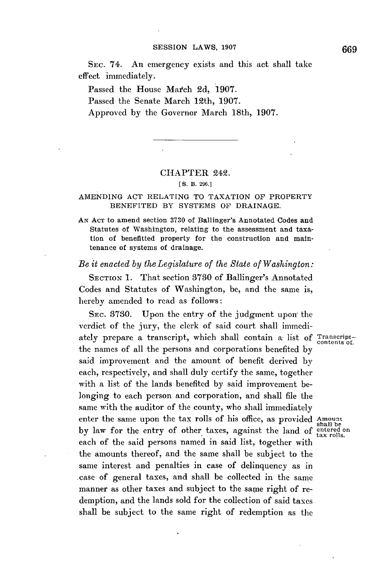SEc. 74. An emergency exists and this act shall take effect immediately.

Passed the House Match **2d, 1907.** Passed the Senate March 12th, **1907.** Approved **by** the Governor March 18th, **1907.**

## CHAPTER 242.

## **[ S.** B. **296.]**

## AMENDING **ACT** RELATING TO **TAXATION** OF PROPERTY **BENEFITED** BY **SYSTEMS** OF **DRAINAGE.**

**AN ACT** to amend section **3730** of Ballinger's Annotated Codes and Statutes of Washington, relating to the assessment and taxation of benefitted property for the construction and maintenance of systems of drainage.

## *Be it enacted by the Legislature of the State of Washington:*

**SECTION 1.** That section **3730** of Ballinger's Annotated Codes and Statutes of Washington, be, and the same is, hereby amended to read as follows:

SEC. **3730.** Upon the entry of the judgment upon the verdict of the jury, the clerk of said court shall immediately prepare a transcript, which shall contain a list of Transcriptthe names of all the persons and corporations benefited **by** said improvement and the amount of benefit derived **by** each, respectively, and shall duly certify the same, together with a list of the lands benefited **by** said improvement belonging to each person and corporation, and shall file the same with the auditor of the county, who shall immediately enter the same upon the tax rolls of his office, as provided Amount by law for the entry of other taxes, against the land of <sup>entered</sup> on tax rolls. each of the said persons named in said list, together with the amounts thereof, and the same shall be subject to the same interest and penalties in case of delinquency as in -case of general taxes, and shall be collected in the same manner as other taxes and subject to the same right of redemption, and the lands sold for the collection of said taxes shall be subject to the same right of redemption as the